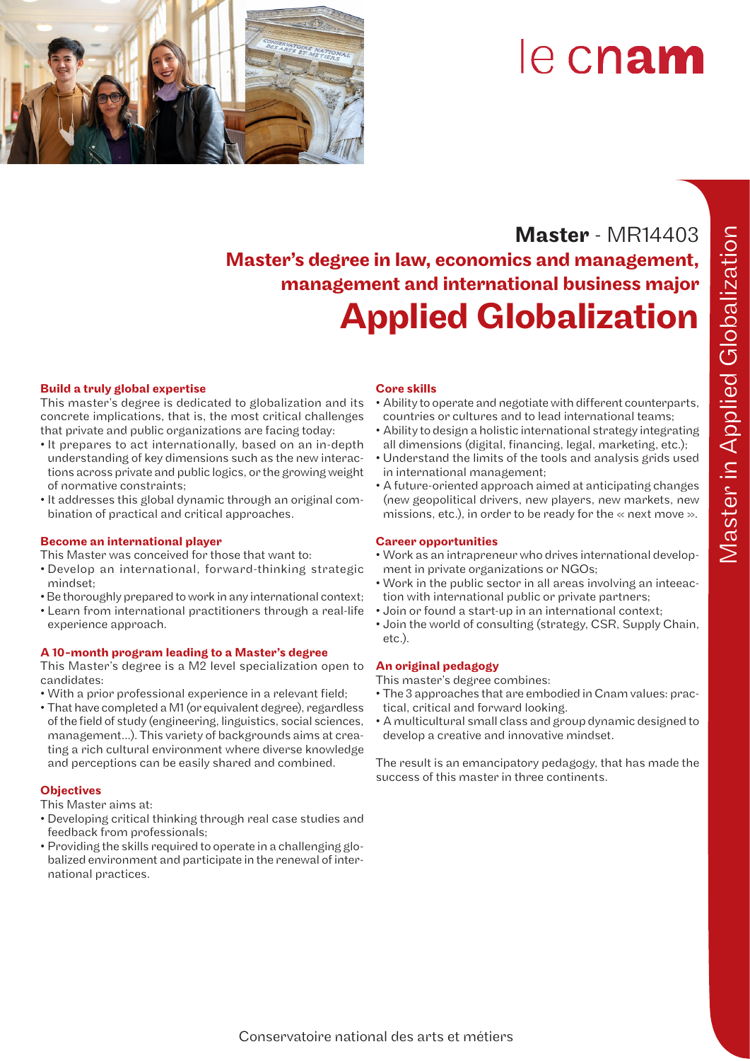

# le cnam

# **Master** - MR14403 Master's degree in law, economics and management, management and international business major Applied Globalization

#### Build a truly global expertise

This master's degree is dedicated to globalization and its concrete implications, that is, the most critical challenges that private and public organizations are facing today:

- It prepares to act internationally, based on an in-depth understanding of key dimensions such as the new interactions across private and public logics, or the growing weight of normative constraints;
- It addresses this global dynamic through an original combination of practical and critical approaches.

#### Become an international player

This Master was conceived for those that want to:

- Develop an international, forward-thinking strategic mindset;
- Be thoroughly prepared to work in any international context;
- Learn from international practitioners through a real-life experience approach.

#### A 10-month program leading to a Master's degree

This Master's degree is a M2 level specialization open to candidates:

- With a prior professional experience in a relevant field;
- That have completed a M1 (or equivalent degree), regardless of the field of study (engineering, linguistics, social sciences, management...). This variety of backgrounds aims at creating a rich cultural environment where diverse knowledge and perceptions can be easily shared and combined.

#### **Objectives**

This Master aims at:

- Developing critical thinking through real case studies and feedback from professionals;
- Providing the skills required to operate in a challenging globalized environment and participate in the renewal of international practices.

#### Core skills

- Ability to operate and negotiate with different counterparts, countries or cultures and to lead international teams;
- Ability to design a holistic international strategy integrating all dimensions (digital, financing, legal, marketing, etc.);
- Understand the limits of the tools and analysis grids used in international management;
- A future-oriented approach aimed at anticipating changes (new geopolitical drivers, new players, new markets, new missions, etc.), in order to be ready for the  $\ll$  next move  $\gg$ .

#### Career opportunities

- Work as an intrapreneur who drives international development in private organizations or NGOs;
- Work in the public sector in all areas involving an inteeaction with international public or private partners;
- Join or found a start-up in an international context;
- Join the world of consulting (strategy, CSR, Supply Chain, etc.).

#### An original pedagogy

- This master's degree combines:
- The 3 approaches that are embodied in Cnam values: practical, critical and forward looking.
- A multicultural small class and group dynamic designed to develop a creative and innovative mindset.

The result is an emancipatory pedagogy, that has made the success of this master in three continents.